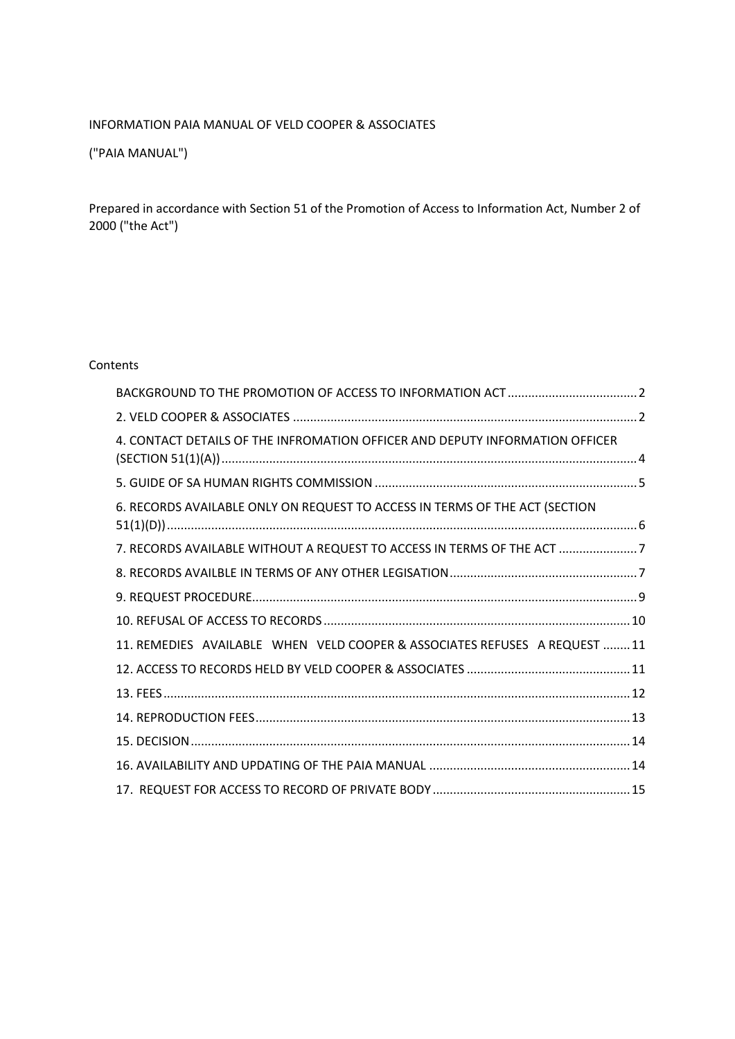## INFORMATION PAIA MANUAL OF VELD COOPER & ASSOCIATES

("PAIA MANUAL")

Prepared in accordance with Section 51 of the Promotion of Access to Information Act, Number 2 of 2000 ("the Act")

## Contents

| 4. CONTACT DETAILS OF THE INFROMATION OFFICER AND DEPUTY INFORMATION OFFICER |
|------------------------------------------------------------------------------|
|                                                                              |
| 6. RECORDS AVAILABLE ONLY ON REQUEST TO ACCESS IN TERMS OF THE ACT (SECTION  |
| 7. RECORDS AVAILABLE WITHOUT A REQUEST TO ACCESS IN TERMS OF THE ACT 7       |
|                                                                              |
|                                                                              |
|                                                                              |
| 11. REMEDIES AVAILABLE WHEN VELD COOPER & ASSOCIATES REFUSES A REQUEST 11    |
|                                                                              |
|                                                                              |
|                                                                              |
|                                                                              |
|                                                                              |
|                                                                              |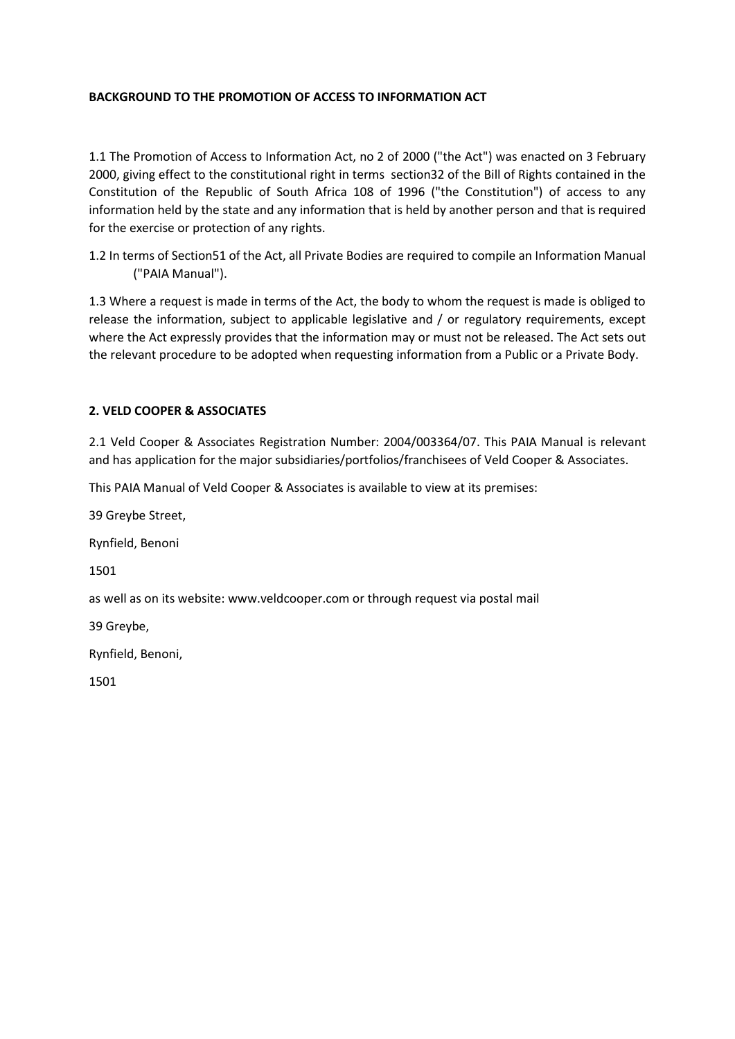## <span id="page-1-0"></span>**BACKGROUND TO THE PROMOTION OF ACCESS TO INFORMATION ACT**

1.1 The Promotion of Access to Information Act, no 2 of 2000 ("the Act") was enacted on 3 February 2000, giving effect to the constitutional right in terms section32 of the Bill of Rights contained in the Constitution of the Republic of South Africa 108 of 1996 ("the Constitution") of access to any information held by the state and any information that is held by another person and that is required for the exercise or protection of any rights.

1.2 In terms of Section51 of the Act, all Private Bodies are required to compile an Information Manual ("PAIA Manual").

1.3 Where a request is made in terms of the Act, the body to whom the request is made is obliged to release the information, subject to applicable legislative and / or regulatory requirements, except where the Act expressly provides that the information may or must not be released. The Act sets out the relevant procedure to be adopted when requesting information from a Public or a Private Body.

## <span id="page-1-1"></span>**2. VELD COOPER & ASSOCIATES**

2.1 Veld Cooper & Associates Registration Number: 2004/003364/07. This PAIA Manual is relevant and has application for the major subsidiaries/portfolios/franchisees of Veld Cooper & Associates.

This PAIA Manual of Veld Cooper & Associates is available to view at its premises:

39 Greybe Street,

Rynfield, Benoni

1501

as well as on its website: www.veldcooper.com or through request via postal mail

39 Greybe,

Rynfield, Benoni,

1501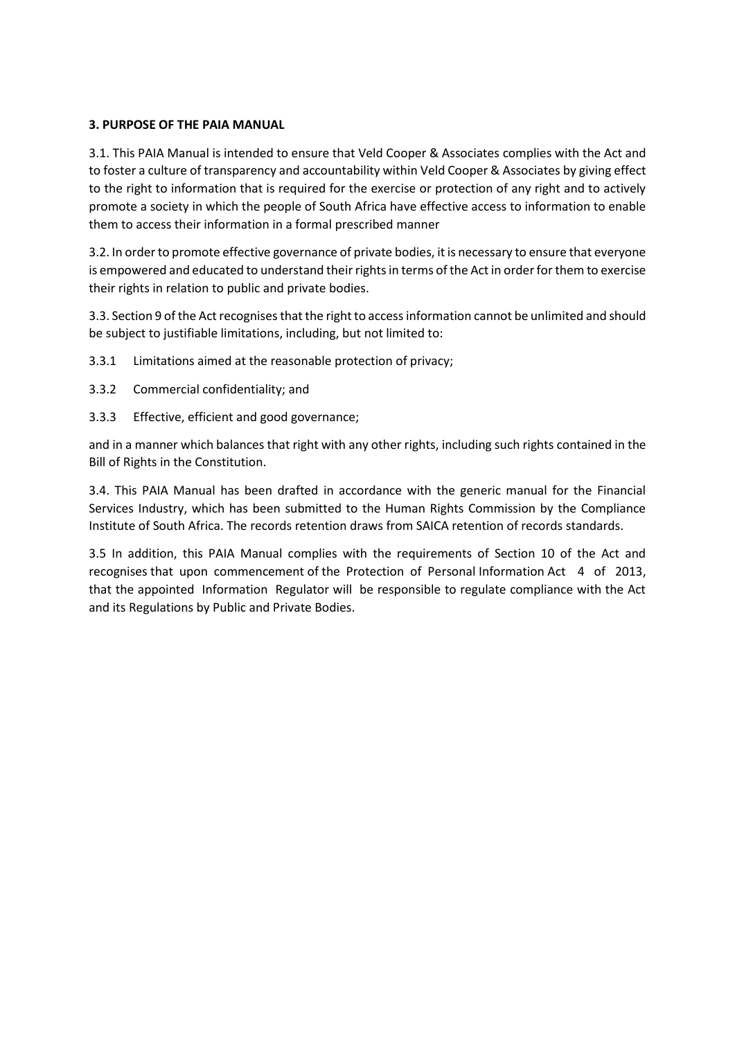## **3. PURPOSE OF THE PAIA MANUAL**

3.1. This PAIA Manual is intended to ensure that Veld Cooper & Associates complies with the Act and to foster a culture of transparency and accountability within Veld Cooper & Associates by giving effect to the right to information that is required for the exercise or protection of any right and to actively promote a society in which the people of South Africa have effective access to information to enable them to access their information in a formal prescribed manner

3.2. In order to promote effective governance of private bodies, it is necessary to ensure that everyone is empowered and educated to understand their rights in terms of the Act in order for them to exercise their rights in relation to public and private bodies.

3.3. Section 9 of the Act recognises that the right to access information cannot be unlimited and should be subject to justifiable limitations, including, but not limited to:

- 3.3.1 Limitations aimed at the reasonable protection of privacy;
- 3.3.2 Commercial confidentiality; and
- 3.3.3 Effective, efficient and good governance;

and in a manner which balances that right with any other rights, including such rights contained in the Bill of Rights in the Constitution.

3.4. This PAIA Manual has been drafted in accordance with the generic manual for the Financial Services Industry, which has been submitted to the Human Rights Commission by the Compliance Institute of South Africa. The records retention draws from SAICA retention of records standards.

3.5 In addition, this PAIA Manual complies with the requirements of Section 10 of the Act and recognises that upon commencement of the Protection of Personal Information Act 4 of 2013, that the appointed Information Regulator will be responsible to regulate compliance with the Act and its Regulations by Public and Private Bodies.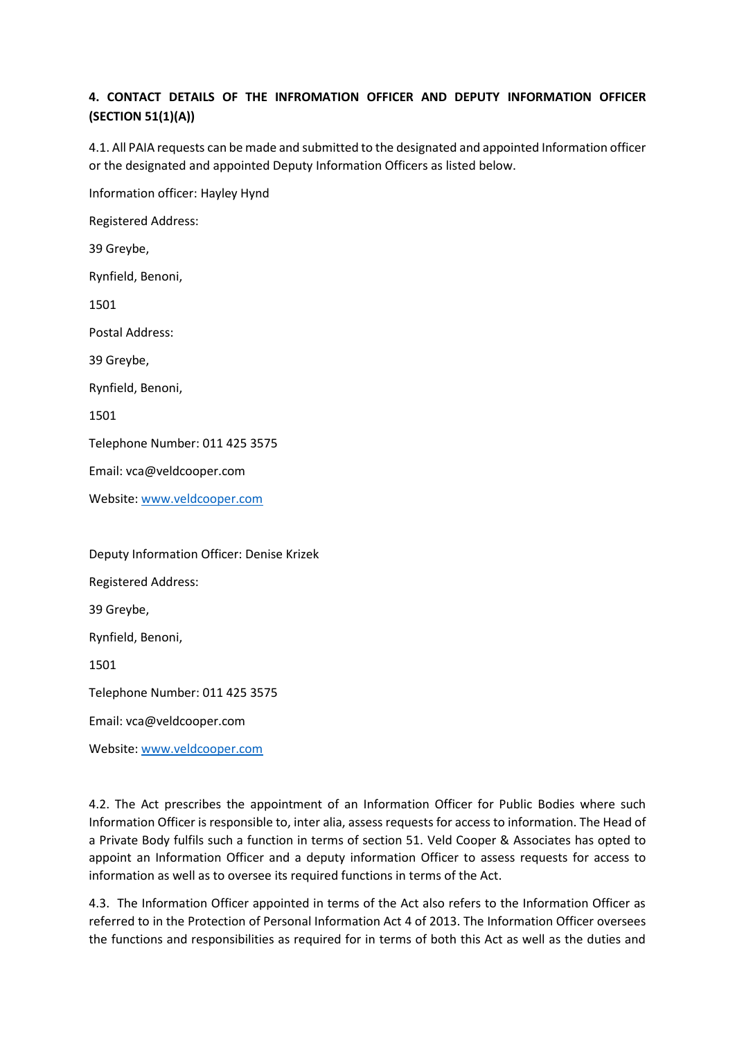# <span id="page-3-0"></span>**4. CONTACT DETAILS OF THE INFROMATION OFFICER AND DEPUTY INFORMATION OFFICER (SECTION 51(1)(A))**

4.1. All PAIA requests can be made and submitted to the designated and appointed Information officer or the designated and appointed Deputy Information Officers as listed below.

Information officer: Hayley Hynd

Registered Address:

39 Greybe,

Rynfield, Benoni,

1501

Postal Address:

39 Greybe,

Rynfield, Benoni,

1501

Telephone Number: 011 425 3575

Email: vca@veldcooper.com

Website[: www.veldcooper.com](http://www.veldcooper.com/)

Deputy Information Officer: Denise Krizek Registered Address: 39 Greybe, Rynfield, Benoni, 1501 Telephone Number: 011 425 3575 Email: vca@veldcooper.com Website[: www.veldcooper.com](http://www.veldcooper.com/)

4.2. The Act prescribes the appointment of an Information Officer for Public Bodies where such Information Officer is responsible to, inter alia, assess requests for access to information. The Head of a Private Body fulfils such a function in terms of section 51. Veld Cooper & Associates has opted to appoint an Information Officer and a deputy information Officer to assess requests for access to information as well as to oversee its required functions in terms of the Act.

4.3. The Information Officer appointed in terms of the Act also refers to the Information Officer as referred to in the Protection of Personal Information Act 4 of 2013. The Information Officer oversees the functions and responsibilities as required for in terms of both this Act as well as the duties and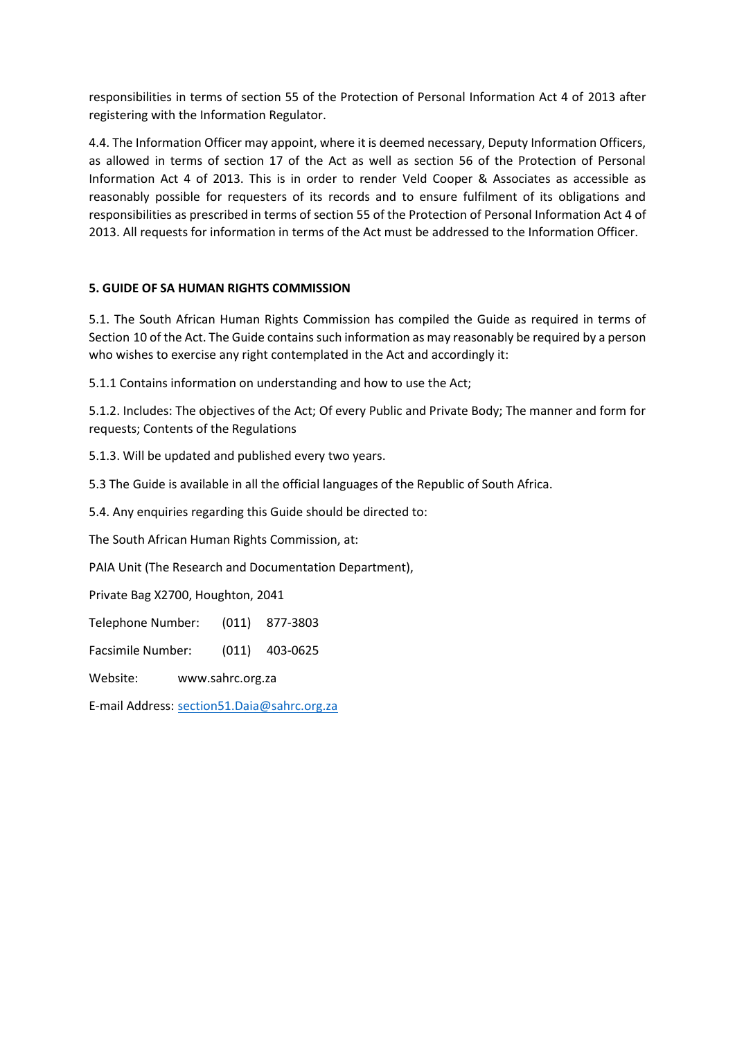responsibilities in terms of section 55 of the Protection of Personal Information Act 4 of 2013 after registering with the Information Regulator.

4.4. The Information Officer may appoint, where it is deemed necessary, Deputy Information Officers, as allowed in terms of section 17 of the Act as well as section 56 of the Protection of Personal Information Act 4 of 2013. This is in order to render Veld Cooper & Associates as accessible as reasonably possible for requesters of its records and to ensure fulfilment of its obligations and responsibilities as prescribed in terms of section 55 of the Protection of Personal Information Act 4 of 2013. All requests for information in terms of the Act must be addressed to the Information Officer.

# <span id="page-4-0"></span>**5. GUIDE OF SA HUMAN RIGHTS COMMISSION**

5.1. The South African Human Rights Commission has compiled the Guide as required in terms of Section 10 of the Act. The Guide contains such information as may reasonably be required by a person who wishes to exercise any right contemplated in the Act and accordingly it:

5.1.1 Contains information on understanding and how to use the Act;

5.1.2. Includes: The objectives of the Act; Of every Public and Private Body; The manner and form for requests; Contents of the Regulations

5.1.3. Will be updated and published every two years.

5.3 The Guide is available in all the official languages of the Republic of South Africa.

5.4. Any enquiries regarding this Guide should be directed to:

The South African Human Rights Commission, at:

PAIA Unit (The Research and Documentation Department),

Private Bag X2700, Houghton, 2041

Telephone Number: (011) 877-3803

Facsimile Number: (011) 403-0625

Website: www.sahrc.org.za

E-mail Address: [section51.Daia@sahrc.org.za](mailto:section51.Daia@sahrc.org.za)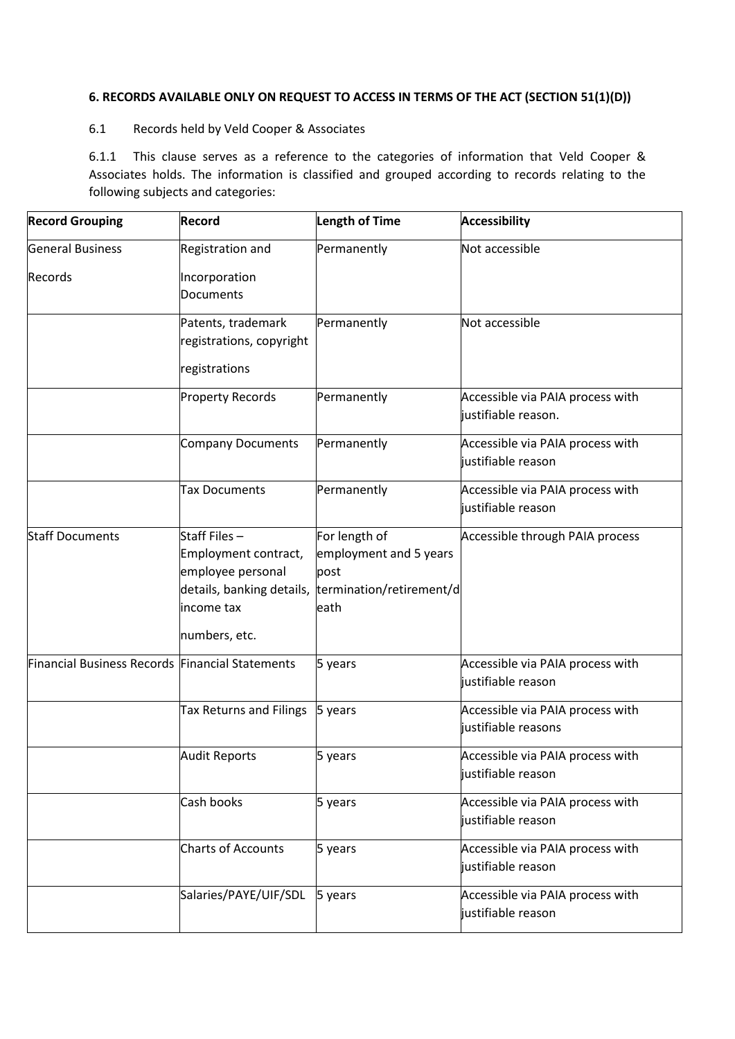## <span id="page-5-0"></span>**6. RECORDS AVAILABLE ONLY ON REQUEST TO ACCESS IN TERMS OF THE ACT (SECTION 51(1)(D))**

## 6.1 Records held by Veld Cooper & Associates

6.1.1 This clause serves as a reference to the categories of information that Veld Cooper & Associates holds. The information is classified and grouped according to records relating to the following subjects and categories:

| <b>Record Grouping</b>                          | Record                                                                                                                | Length of Time                                                                      | <b>Accessibility</b>                                    |
|-------------------------------------------------|-----------------------------------------------------------------------------------------------------------------------|-------------------------------------------------------------------------------------|---------------------------------------------------------|
| <b>General Business</b>                         | Registration and                                                                                                      | Permanently                                                                         | Not accessible                                          |
| Records                                         | Incorporation<br><b>Documents</b>                                                                                     |                                                                                     |                                                         |
|                                                 | Patents, trademark<br>registrations, copyright<br>registrations                                                       | Permanently                                                                         | Not accessible                                          |
|                                                 | <b>Property Records</b>                                                                                               | Permanently                                                                         | Accessible via PAIA process with<br>justifiable reason. |
|                                                 | <b>Company Documents</b>                                                                                              | Permanently                                                                         | Accessible via PAIA process with<br>justifiable reason  |
|                                                 | <b>Tax Documents</b>                                                                                                  | Permanently                                                                         | Accessible via PAIA process with<br>justifiable reason  |
| <b>Staff Documents</b>                          | Staff Files-<br>Employment contract,<br>employee personal<br>details, banking details,<br>income tax<br>numbers, etc. | For length of<br>employment and 5 years<br>post<br>termination/retirement/d<br>eath | Accessible through PAIA process                         |
| Financial Business Records Financial Statements |                                                                                                                       | 5 years                                                                             | Accessible via PAIA process with<br>justifiable reason  |
|                                                 | Tax Returns and Filings                                                                                               | 5 years                                                                             | Accessible via PAIA process with<br>justifiable reasons |
|                                                 | <b>Audit Reports</b>                                                                                                  | 5 years                                                                             | Accessible via PAIA process with<br>justifiable reason  |
|                                                 | Cash books                                                                                                            | 5 years                                                                             | Accessible via PAIA process with<br>justifiable reason  |
|                                                 | <b>Charts of Accounts</b>                                                                                             | 5 years                                                                             | Accessible via PAIA process with<br>justifiable reason  |
|                                                 | Salaries/PAYE/UIF/SDL                                                                                                 | 5 years                                                                             | Accessible via PAIA process with<br>justifiable reason  |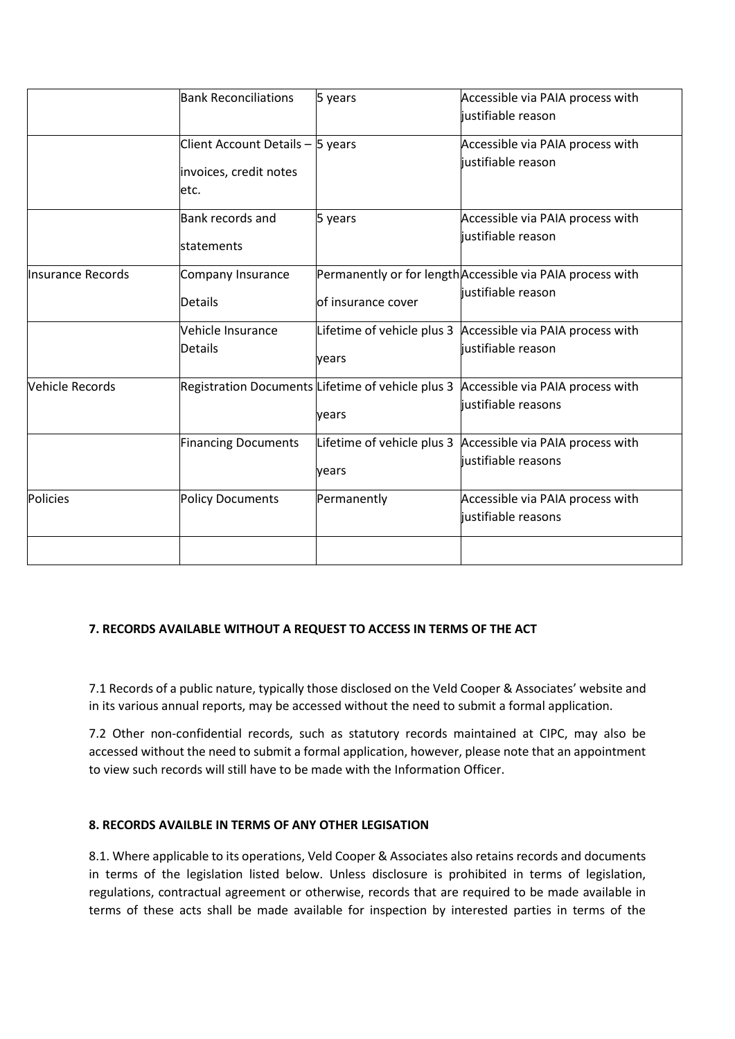|                        | <b>Bank Reconciliations</b>                                        | 5 years            | Accessible via PAIA process with<br>iustifiable reason                                                    |
|------------------------|--------------------------------------------------------------------|--------------------|-----------------------------------------------------------------------------------------------------------|
|                        | Client Account Details - 5 years<br>invoices, credit notes<br>etc. |                    | Accessible via PAIA process with<br>liustifiable reason                                                   |
|                        | Bank records and<br>statements                                     | 5 years            | Accessible via PAIA process with<br>justifiable reason                                                    |
| Insurance Records      | Company Insurance<br><b>Details</b>                                | of insurance cover | Permanently or for length Accessible via PAIA process with<br>iustifiable reason                          |
|                        | Vehicle Insurance<br><b>Details</b>                                | vears              | Lifetime of vehicle plus 3 Accessible via PAIA process with<br>justifiable reason                         |
| <b>Vehicle Records</b> |                                                                    | vears              | Registration Documents Lifetime of vehicle plus 3 Accessible via PAIA process with<br>iustifiable reasons |
|                        | <b>Financing Documents</b>                                         | vears              | Lifetime of vehicle plus 3 Accessible via PAIA process with<br>iustifiable reasons                        |
| <b>Policies</b>        | <b>Policy Documents</b>                                            | Permanently        | Accessible via PAIA process with<br>iustifiable reasons                                                   |
|                        |                                                                    |                    |                                                                                                           |

# <span id="page-6-0"></span>**7. RECORDS AVAILABLE WITHOUT A REQUEST TO ACCESS IN TERMS OF THE ACT**

7.1 Records of a public nature, typically those disclosed on the Veld Cooper & Associates' website and in its various annual reports, may be accessed without the need to submit a formal application.

7.2 Other non-confidential records, such as statutory records maintained at CIPC, may also be accessed without the need to submit a formal application, however, please note that an appointment to view such records will still have to be made with the Information Officer.

## <span id="page-6-1"></span>**8. RECORDS AVAILBLE IN TERMS OF ANY OTHER LEGISATION**

8.1. Where applicable to its operations, Veld Cooper & Associates also retains records and documents in terms of the legislation listed below. Unless disclosure is prohibited in terms of legislation, regulations, contractual agreement or otherwise, records that are required to be made available in terms of these acts shall be made available for inspection by interested parties in terms of the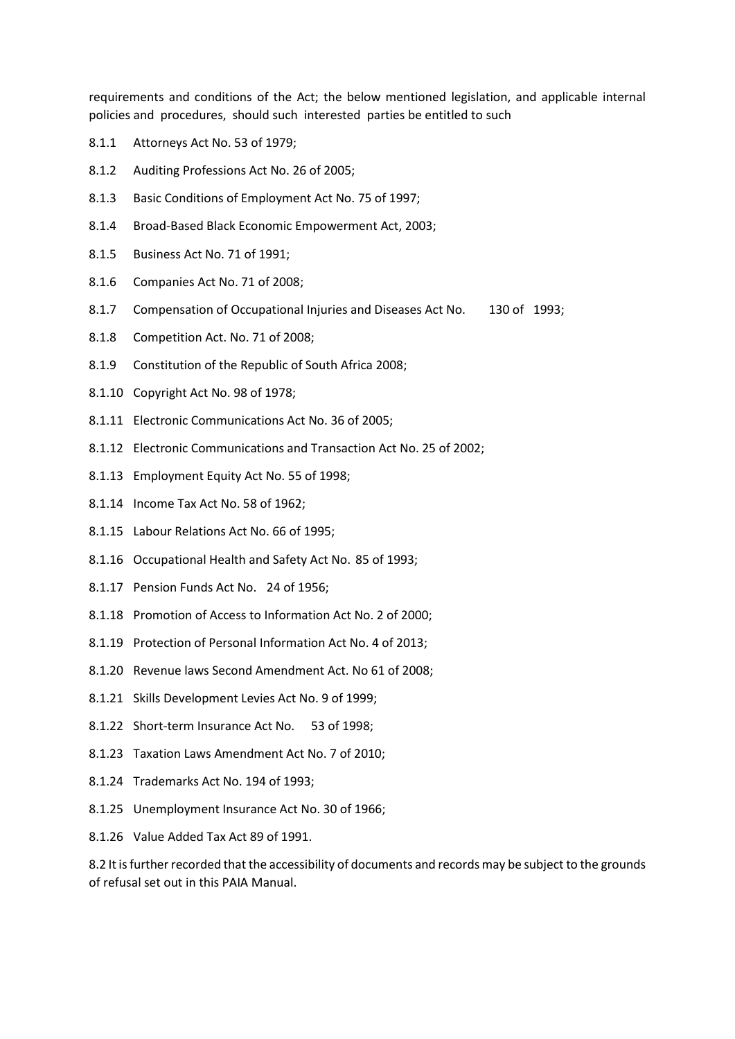requirements and conditions of the Act; the below mentioned legislation, and applicable internal policies and procedures, should such interested parties be entitled to such

- 8.1.1 Attorneys Act No. 53 of 1979;
- 8.1.2 Auditing Professions Act No. 26 of 2005;
- 8.1.3 Basic Conditions of Employment Act No. 75 of 1997;
- 8.1.4 Broad-Based Black Economic Empowerment Act, 2003;
- 8.1.5 Business Act No. 71 of 1991;
- 8.1.6 Companies Act No. 71 of 2008;
- 8.1.7 Compensation of Occupational Injuries and Diseases Act No. 130 of 1993;
- 8.1.8 Competition Act. No. 71 of 2008;
- 8.1.9 Constitution of the Republic of South Africa 2008;
- 8.1.10 Copyright Act No. 98 of 1978;
- 8.1.11 Electronic Communications Act No. 36 of 2005;
- 8.1.12 Electronic Communications and Transaction Act No. 25 of 2002;
- 8.1.13 Employment Equity Act No. 55 of 1998;
- 8.1.14 Income Tax Act No. 58 of 1962;
- 8.1.15 Labour Relations Act No. 66 of 1995;
- 8.1.16 Occupational Health and Safety Act No. 85 of 1993;
- 8.1.17 Pension Funds Act No. 24 of 1956;
- 8.1.18 Promotion of Access to Information Act No. 2 of 2000;
- 8.1.19 Protection of Personal Information Act No. 4 of 2013;
- 8.1.20 Revenue laws Second Amendment Act. No 61 of 2008;
- 8.1.21 Skills Development Levies Act No. 9 of 1999;
- 8.1.22 Short-term Insurance Act No. 53 of 1998;
- 8.1.23 Taxation Laws Amendment Act No. 7 of 2010;
- 8.1.24 Trademarks Act No. 194 of 1993;
- 8.1.25 Unemployment Insurance Act No. 30 of 1966;
- 8.1.26 Value Added Tax Act 89 of 1991.

8.2 It is further recorded that the accessibility of documents and records may be subject to the grounds of refusal set out in this PAIA Manual.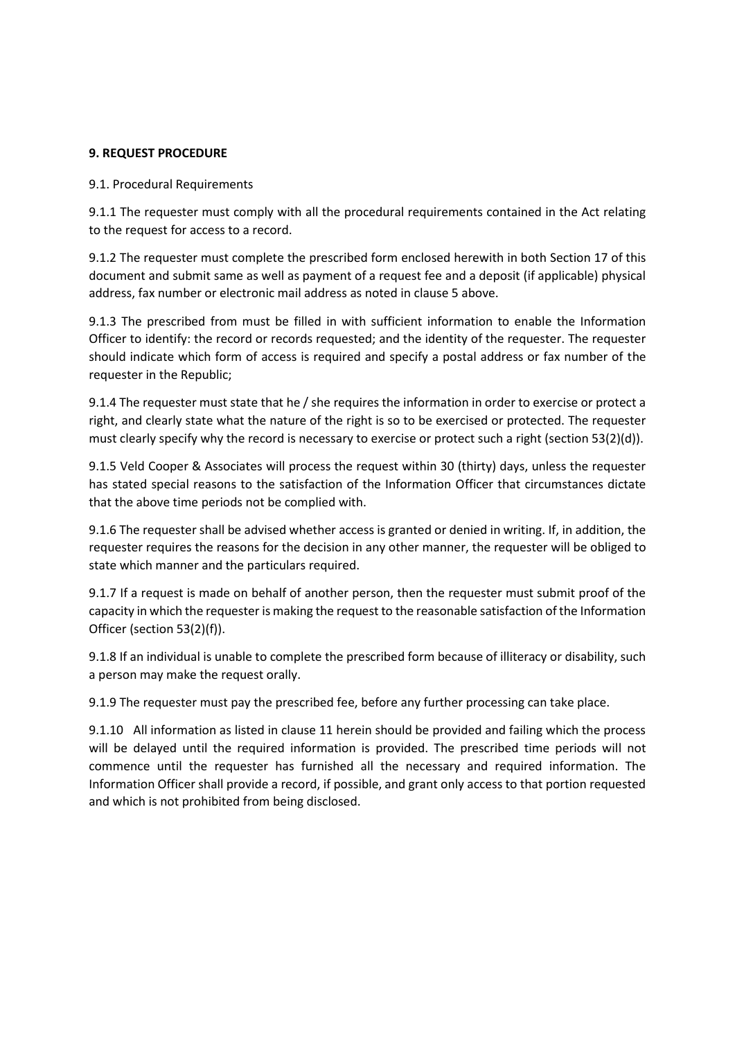#### <span id="page-8-0"></span>**9. REQUEST PROCEDURE**

#### 9.1. Procedural Requirements

9.1.1 The requester must comply with all the procedural requirements contained in the Act relating to the request for access to a record.

9.1.2 The requester must complete the prescribed form enclosed herewith in both Section 17 of this document and submit same as well as payment of a request fee and a deposit (if applicable) physical address, fax number or electronic mail address as noted in clause 5 above.

9.1.3 The prescribed from must be filled in with sufficient information to enable the Information Officer to identify: the record or records requested; and the identity of the requester. The requester should indicate which form of access is required and specify a postal address or fax number of the requester in the Republic;

9.1.4 The requester must state that he / she requires the information in order to exercise or protect a right, and clearly state what the nature of the right is so to be exercised or protected. The requester must clearly specify why the record is necessary to exercise or protect such a right (section 53(2)(d)).

9.1.5 Veld Cooper & Associates will process the request within 30 (thirty) days, unless the requester has stated special reasons to the satisfaction of the Information Officer that circumstances dictate that the above time periods not be complied with.

9.1.6 The requester shall be advised whether access is granted or denied in writing. If, in addition, the requester requires the reasons for the decision in any other manner, the requester will be obliged to state which manner and the particulars required.

9.1.7 If a request is made on behalf of another person, then the requester must submit proof of the capacity in which the requester is making the request to the reasonable satisfaction of the Information Officer (section 53(2)(f)).

9.1.8 If an individual is unable to complete the prescribed form because of illiteracy or disability, such a person may make the request orally.

9.1.9 The requester must pay the prescribed fee, before any further processing can take place.

9.1.10 All information as listed in clause 11 herein should be provided and failing which the process will be delayed until the required information is provided. The prescribed time periods will not commence until the requester has furnished all the necessary and required information. The Information Officer shall provide a record, if possible, and grant only access to that portion requested and which is not prohibited from being disclosed.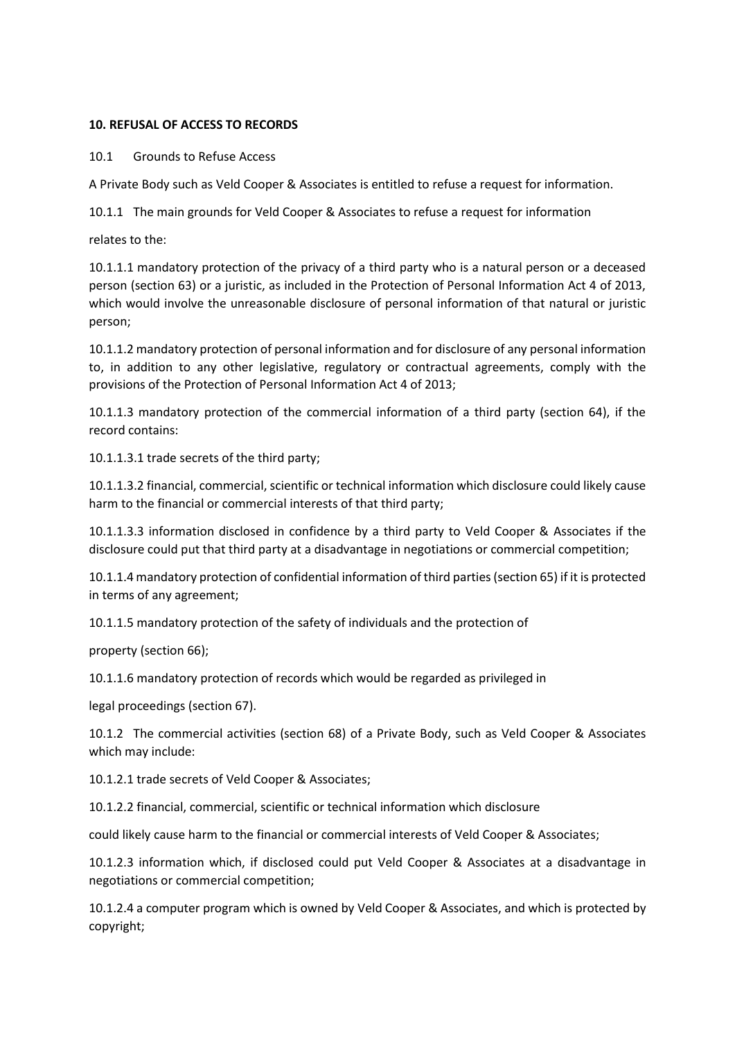#### <span id="page-9-0"></span>**10. REFUSAL OF ACCESS TO RECORDS**

10.1 Grounds to Refuse Access

A Private Body such as Veld Cooper & Associates is entitled to refuse a request for information.

10.1.1 The main grounds for Veld Cooper & Associates to refuse a request for information

relates to the:

10.1.1.1 mandatory protection of the privacy of a third party who is a natural person or a deceased person (section 63) or a juristic, as included in the Protection of Personal Information Act 4 of 2013, which would involve the unreasonable disclosure of personal information of that natural or juristic person;

10.1.1.2 mandatory protection of personal information and for disclosure of any personal information to, in addition to any other legislative, regulatory or contractual agreements, comply with the provisions of the Protection of Personal Information Act 4 of 2013;

10.1.1.3 mandatory protection of the commercial information of a third party (section 64), if the record contains:

10.1.1.3.1 trade secrets of the third party;

10.1.1.3.2 financial, commercial, scientific or technical information which disclosure could likely cause harm to the financial or commercial interests of that third party;

10.1.1.3.3 information disclosed in confidence by a third party to Veld Cooper & Associates if the disclosure could put that third party at a disadvantage in negotiations or commercial competition;

10.1.1.4 mandatory protection of confidential information of third parties (section 65) if it is protected in terms of any agreement;

10.1.1.5 mandatory protection of the safety of individuals and the protection of

property (section 66);

10.1.1.6 mandatory protection of records which would be regarded as privileged in

legal proceedings (section 67).

10.1.2 The commercial activities (section 68) of a Private Body, such as Veld Cooper & Associates which may include:

10.1.2.1 trade secrets of Veld Cooper & Associates;

10.1.2.2 financial, commercial, scientific or technical information which disclosure

could likely cause harm to the financial or commercial interests of Veld Cooper & Associates;

10.1.2.3 information which, if disclosed could put Veld Cooper & Associates at a disadvantage in negotiations or commercial competition;

10.1.2.4 a computer program which is owned by Veld Cooper & Associates, and which is protected by copyright;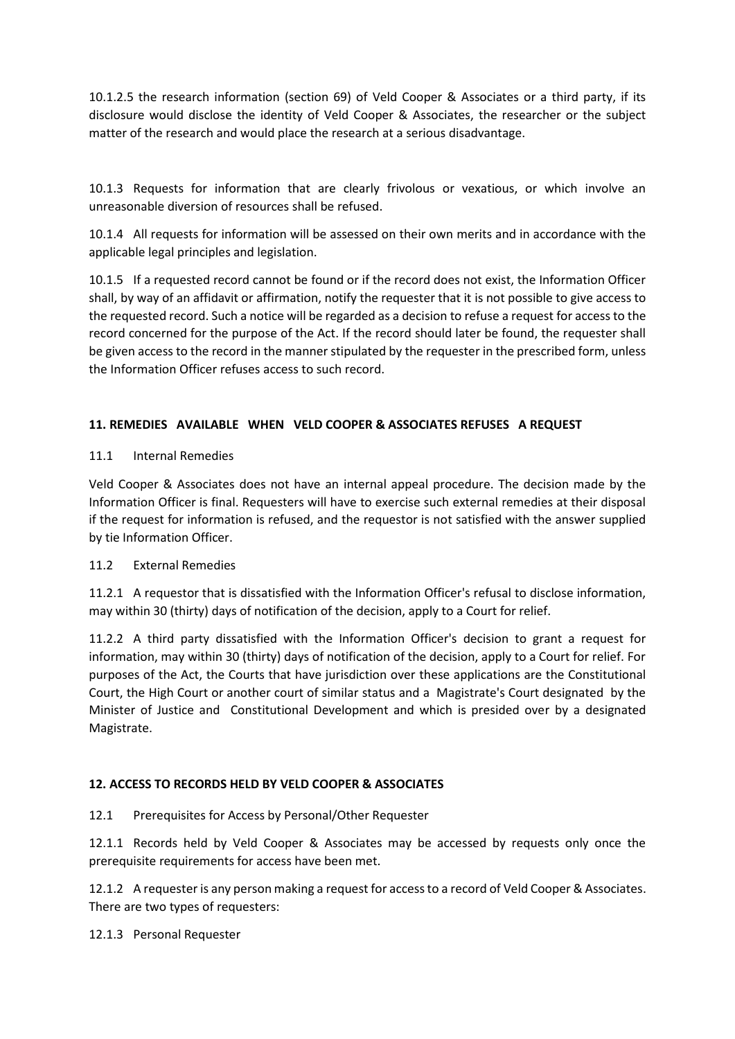10.1.2.5 the research information (section 69) of Veld Cooper & Associates or a third party, if its disclosure would disclose the identity of Veld Cooper & Associates, the researcher or the subject matter of the research and would place the research at a serious disadvantage.

10.1.3 Requests for information that are clearly frivolous or vexatious, or which involve an unreasonable diversion of resources shall be refused.

10.1.4 All requests for information will be assessed on their own merits and in accordance with the applicable legal principles and legislation.

10.1.5 If a requested record cannot be found or if the record does not exist, the Information Officer shall, by way of an affidavit or affirmation, notify the requester that it is not possible to give access to the requested record. Such a notice will be regarded as a decision to refuse a request for access to the record concerned for the purpose of the Act. If the record should later be found, the requester shall be given access to the record in the manner stipulated by the requester in the prescribed form, unless the Information Officer refuses access to such record.

# <span id="page-10-0"></span>**11. REMEDIES AVAILABLE WHEN VELD COOPER & ASSOCIATES REFUSES A REQUEST**

## 11.1 Internal Remedies

Veld Cooper & Associates does not have an internal appeal procedure. The decision made by the Information Officer is final. Requesters will have to exercise such external remedies at their disposal if the request for information is refused, and the requestor is not satisfied with the answer supplied by tie Information Officer.

# 11.2 External Remedies

11.2.1 A requestor that is dissatisfied with the Information Officer's refusal to disclose information, may within 30 (thirty) days of notification of the decision, apply to a Court for relief.

11.2.2 A third party dissatisfied with the Information Officer's decision to grant a request for information, may within 30 (thirty) days of notification of the decision, apply to a Court for relief. For purposes of the Act, the Courts that have jurisdiction over these applications are the Constitutional Court, the High Court or another court of similar status and a Magistrate's Court designated by the Minister of Justice and Constitutional Development and which is presided over by a designated Magistrate.

# <span id="page-10-1"></span>**12. ACCESS TO RECORDS HELD BY VELD COOPER & ASSOCIATES**

# 12.1 Prerequisites for Access by Personal/Other Requester

12.1.1 Records held by Veld Cooper & Associates may be accessed by requests only once the prerequisite requirements for access have been met.

12.1.2 A requester is any person making a request for access to a record of Veld Cooper & Associates. There are two types of requesters:

12.1.3 Personal Requester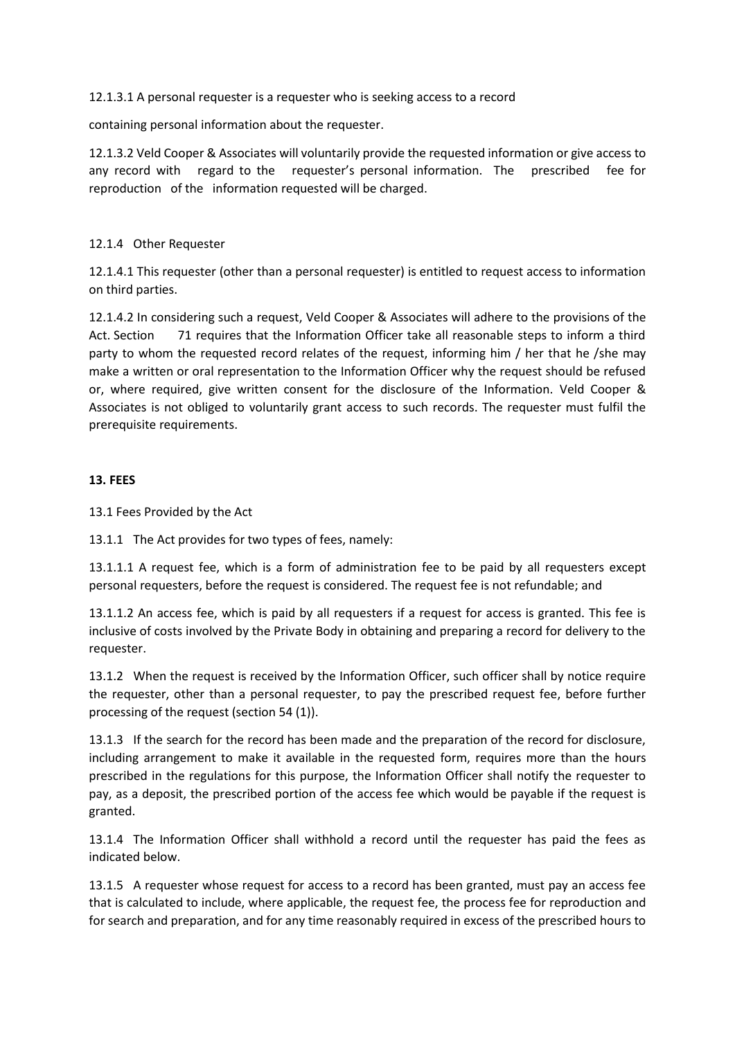12.1.3.1 A personal requester is a requester who is seeking access to a record

containing personal information about the requester.

12.1.3.2 Veld Cooper & Associates will voluntarily provide the requested information or give access to any record with regard to the requester's personal information. The prescribed fee for reproduction of the information requested will be charged.

## 12.1.4 Other Requester

12.1.4.1 This requester (other than a personal requester) is entitled to request access to information on third parties.

12.1.4.2 In considering such a request, Veld Cooper & Associates will adhere to the provisions of the Act. Section 71 requires that the Information Officer take all reasonable steps to inform a third party to whom the requested record relates of the request, informing him / her that he /she may make a written or oral representation to the Information Officer why the request should be refused or, where required, give written consent for the disclosure of the Information. Veld Cooper & Associates is not obliged to voluntarily grant access to such records. The requester must fulfil the prerequisite requirements.

## <span id="page-11-0"></span>**13. FEES**

13.1 Fees Provided by the Act

13.1.1 The Act provides for two types of fees, namely:

13.1.1.1 A request fee, which is a form of administration fee to be paid by all requesters except personal requesters, before the request is considered. The request fee is not refundable; and

13.1.1.2 An access fee, which is paid by all requesters if a request for access is granted. This fee is inclusive of costs involved by the Private Body in obtaining and preparing a record for delivery to the requester.

13.1.2 When the request is received by the Information Officer, such officer shall by notice require the requester, other than a personal requester, to pay the prescribed request fee, before further processing of the request (section 54 (1)).

13.1.3 If the search for the record has been made and the preparation of the record for disclosure, including arrangement to make it available in the requested form, requires more than the hours prescribed in the regulations for this purpose, the Information Officer shall notify the requester to pay, as a deposit, the prescribed portion of the access fee which would be payable if the request is granted.

13.1.4 The Information Officer shall withhold a record until the requester has paid the fees as indicated below.

13.1.5 A requester whose request for access to a record has been granted, must pay an access fee that is calculated to include, where applicable, the request fee, the process fee for reproduction and for search and preparation, and for any time reasonably required in excess of the prescribed hours to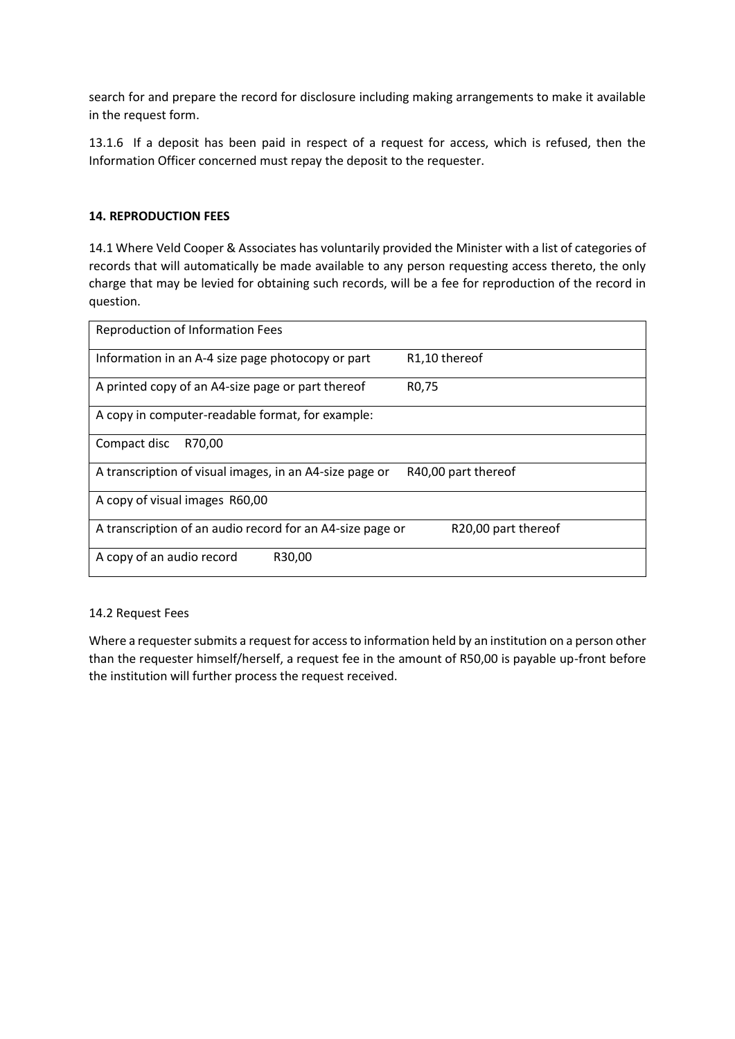search for and prepare the record for disclosure including making arrangements to make it available in the request form.

13.1.6 If a deposit has been paid in respect of a request for access, which is refused, then the Information Officer concerned must repay the deposit to the requester.

#### <span id="page-12-0"></span>**14. REPRODUCTION FEES**

14.1 Where Veld Cooper & Associates has voluntarily provided the Minister with a list of categories of records that will automatically be made available to any person requesting access thereto, the only charge that may be levied for obtaining such records, will be a fee for reproduction of the record in question.

| <b>Reproduction of Information Fees</b>                   |                     |
|-----------------------------------------------------------|---------------------|
| Information in an A-4 size page photocopy or part         | R1,10 thereof       |
| A printed copy of an A4-size page or part thereof         | R <sub>0</sub> ,75  |
| A copy in computer-readable format, for example:          |                     |
| Compact disc<br>R70,00                                    |                     |
| A transcription of visual images, in an A4-size page or   | R40,00 part thereof |
| A copy of visual images R60,00                            |                     |
| A transcription of an audio record for an A4-size page or | R20,00 part thereof |
| A copy of an audio record<br>R30,00                       |                     |

#### 14.2 Request Fees

Where a requester submits a request for access to information held by an institution on a person other than the requester himself/herself, a request fee in the amount of R50,00 is payable up-front before the institution will further process the request received.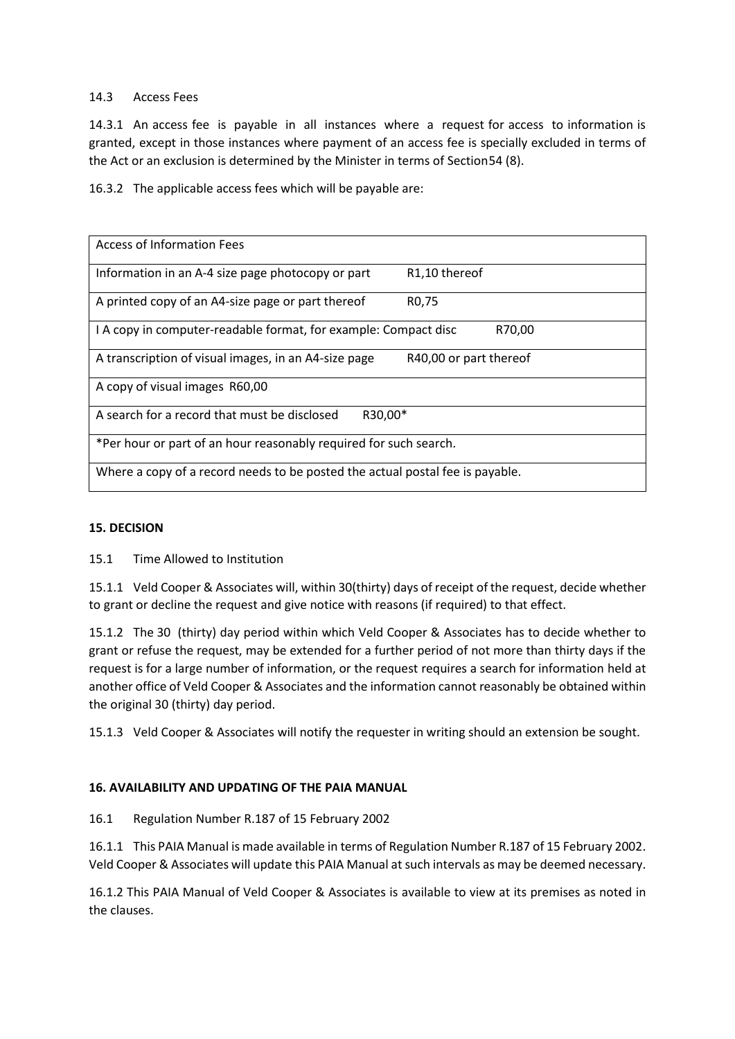### 14.3 Access Fees

14.3.1 An access fee is payable in all instances where a request for access to information is granted, except in those instances where payment of an access fee is specially excluded in terms of the Act or an exclusion is determined by the Minister in terms of Section54 (8).

16.3.2 The applicable access fees which will be payable are:

| <b>Access of Information Fees</b>                                             |                        |  |  |  |
|-------------------------------------------------------------------------------|------------------------|--|--|--|
| Information in an A-4 size page photocopy or part                             | R1,10 thereof          |  |  |  |
| A printed copy of an A4-size page or part thereof                             | R <sub>0</sub> ,75     |  |  |  |
| I A copy in computer-readable format, for example: Compact disc<br>R70.00     |                        |  |  |  |
| A transcription of visual images, in an A4-size page                          | R40,00 or part thereof |  |  |  |
| A copy of visual images R60,00                                                |                        |  |  |  |
| A search for a record that must be disclosed<br>R30,00*                       |                        |  |  |  |
| *Per hour or part of an hour reasonably required for such search.             |                        |  |  |  |
| Where a copy of a record needs to be posted the actual postal fee is payable. |                        |  |  |  |

## <span id="page-13-0"></span>**15. DECISION**

15.1 Time Allowed to Institution

15.1.1 Veld Cooper & Associates will, within 30(thirty) days of receipt of the request, decide whether to grant or decline the request and give notice with reasons (if required) to that effect.

15.1.2 The 30 (thirty) day period within which Veld Cooper & Associates has to decide whether to grant or refuse the request, may be extended for a further period of not more than thirty days if the request is for a large number of information, or the request requires a search for information held at another office of Veld Cooper & Associates and the information cannot reasonably be obtained within the original 30 (thirty) day period.

15.1.3 Veld Cooper & Associates will notify the requester in writing should an extension be sought.

#### <span id="page-13-1"></span>**16. AVAILABILITY AND UPDATING OF THE PAIA MANUAL**

16.1 Regulation Number R.187 of 15 February 2002

16.1.1 This PAIA Manual is made available in terms of Regulation Number R.187 of 15 February 2002. Veld Cooper & Associates will update this PAIA Manual at such intervals as may be deemed necessary.

16.1.2 This PAIA Manual of Veld Cooper & Associates is available to view at its premises as noted in the clauses.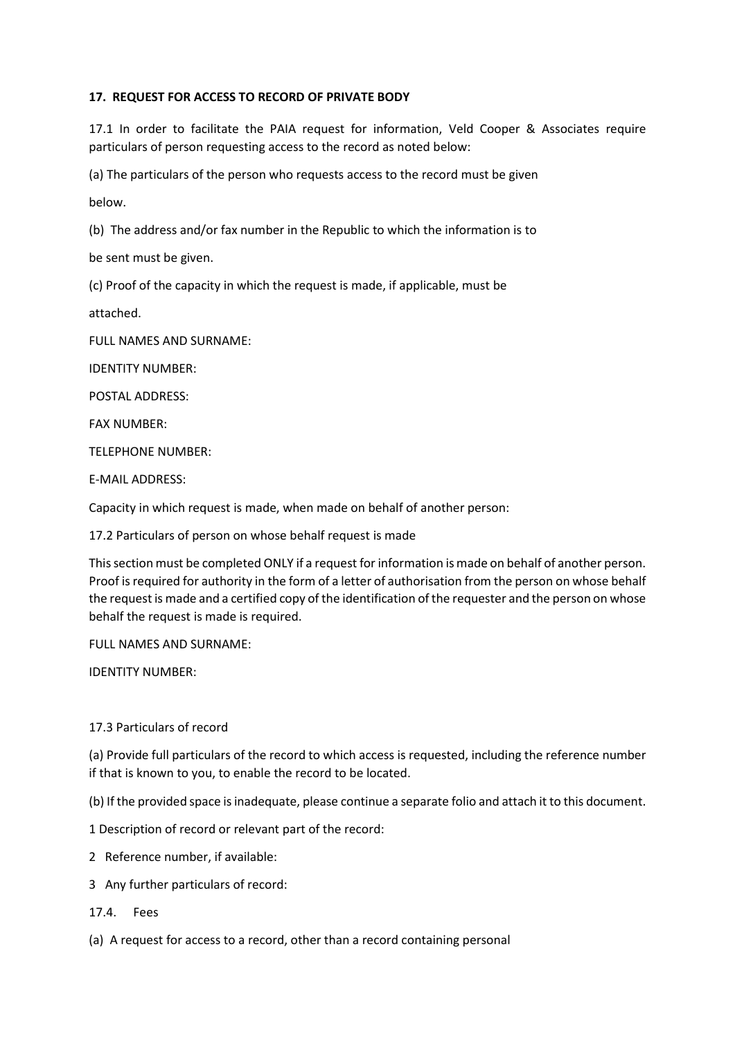#### <span id="page-14-0"></span>**17. REQUEST FOR ACCESS TO RECORD OF PRIVATE BODY**

17.1 In order to facilitate the PAIA request for information, Veld Cooper & Associates require particulars of person requesting access to the record as noted below:

(a) The particulars of the person who requests access to the record must be given

below.

(b) The address and/or fax number in the Republic to which the information is to

be sent must be given.

(c) Proof of the capacity in which the request is made, if applicable, must be

attached.

FULL NAMES AND SURNAME:

IDENTITY NUMBER:

POSTAL ADDRESS:

FAX NUMBER:

TELEPHONE NUMBER:

E-MAIL ADDRESS:

Capacity in which request is made, when made on behalf of another person:

17.2 Particulars of person on whose behalf request is made

This section must be completed ONLY if a request for information is made on behalf of another person. Proof is required for authority in the form of a letter of authorisation from the person on whose behalf the request is made and a certified copy of the identification of the requester and the person on whose behalf the request is made is required.

FULL NAMES AND SURNAME:

IDENTITY NUMBER:

#### 17.3 Particulars of record

(a) Provide full particulars of the record to which access is requested, including the reference number if that is known to you, to enable the record to be located.

(b) If the provided space is inadequate, please continue a separate folio and attach it to this document.

1 Description of record or relevant part of the record:

- 2 Reference number, if available:
- 3 Any further particulars of record:
- 17.4. Fees
- (a) A request for access to a record, other than a record containing personal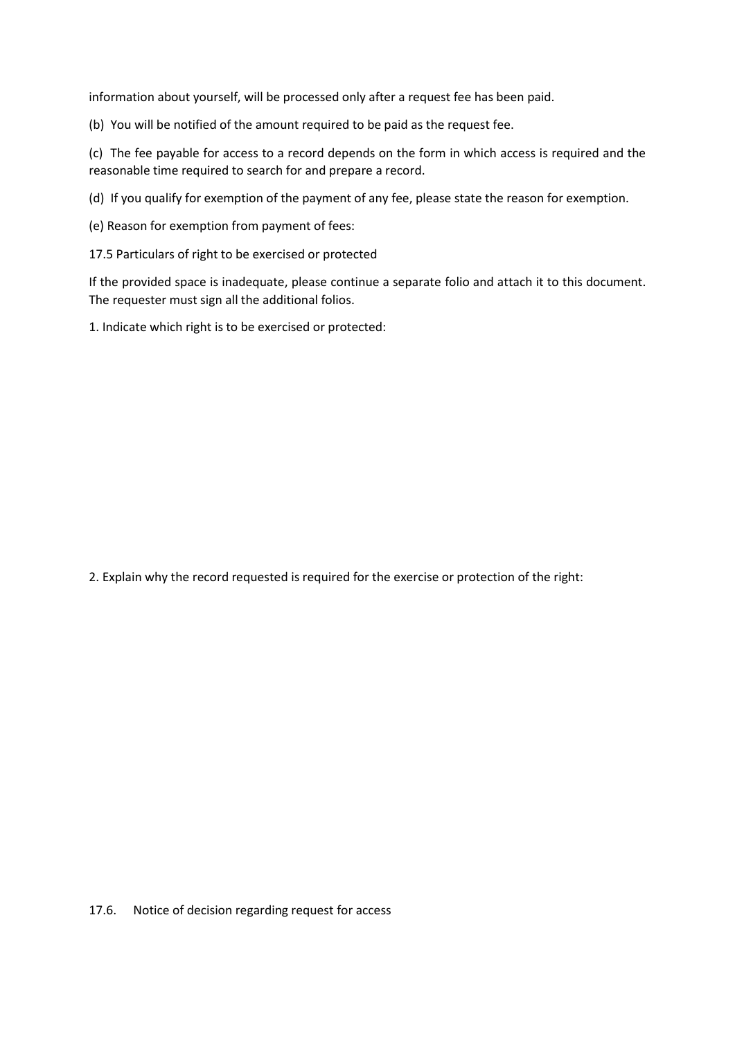information about yourself, will be processed only after a request fee has been paid.

(b) You will be notified of the amount required to be paid as the request fee.

(c) The fee payable for access to a record depends on the form in which access is required and the reasonable time required to search for and prepare a record.

(d) If you qualify for exemption of the payment of any fee, please state the reason for exemption.

(e) Reason for exemption from payment of fees:

17.5 Particulars of right to be exercised or protected

If the provided space is inadequate, please continue a separate folio and attach it to this document. The requester must sign all the additional folios.

1. Indicate which right is to be exercised or protected:

2. Explain why the record requested is required for the exercise or protection of the right: